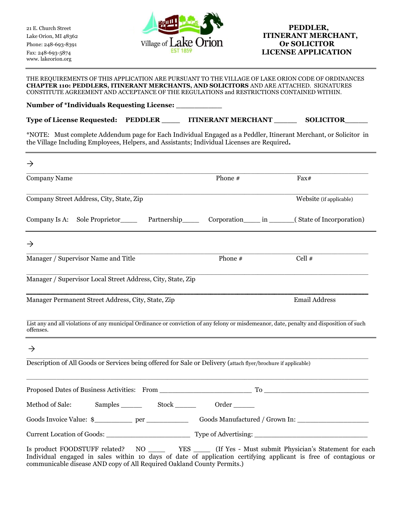www. lakeorion.org



# Lake Orion, MI 48362 **ITINERANT MERCHANT,**

THE REQUIREMENTS OF THIS APPLICATION ARE PURSUANT TO THE VILLAGE OF LAKE ORION CODE OF ORDINANCES **CHAPTER 110: PEDDLERS, ITINERANT MERCHANTS, AND SOLICITORS** AND ARE ATTACHED. SIGNATURES CONSTITUTE AGREEMENT AND ACCEPTANCE OF THE REGULATIONS and RESTRICTIONS CONTAINED WITHIN.

**Number of \*Individuals Requesting License: \_\_\_\_\_\_\_\_\_\_**

| Type of License Requested: PEDDLER |  | <b>ITINERANT MERCHANT</b> | <b>SOLICITOR</b> |
|------------------------------------|--|---------------------------|------------------|
|------------------------------------|--|---------------------------|------------------|

\*NOTE: Must complete Addendum page for Each Individual Engaged as a Peddler, Itinerant Merchant, or Solicitor in the Village Including Employees, Helpers, and Assistants; Individual Licenses are Required**.** 

| $\rightarrow$                                                                                                                                         |             |                                                      |
|-------------------------------------------------------------------------------------------------------------------------------------------------------|-------------|------------------------------------------------------|
| Company Name                                                                                                                                          | Phone #     | Fax#                                                 |
| Company Street Address, City, State, Zip                                                                                                              |             | Website (if applicable)                              |
| Company Is A:                                                                                                                                         |             | Corporation in L. (State of Incorporation)           |
| $\rightarrow$                                                                                                                                         |             |                                                      |
| Manager / Supervisor Name and Title                                                                                                                   | Phone #     | Cell $#$                                             |
| Manager / Supervisor Local Street Address, City, State, Zip                                                                                           |             |                                                      |
| Manager Permanent Street Address, City, State, Zip                                                                                                    |             | <b>Email Address</b>                                 |
| List any and all violations of any municipal Ordinance or conviction of any felony or misdemeanor, date, penalty and disposition of such<br>offenses. |             |                                                      |
| $\rightarrow$                                                                                                                                         |             |                                                      |
| Description of All Goods or Services being offered for Sale or Delivery (attach flyer/brochure if applicable)                                         |             |                                                      |
|                                                                                                                                                       |             |                                                      |
| Method of Sale: Samples                                                                                                                               | Stock Order |                                                      |
| Goods Invoice Value: \$_________ per _________________________Goods Manufactured / Grown In: __________________                                       |             |                                                      |
|                                                                                                                                                       |             |                                                      |
| Is product FOODSTUFF related?<br>NO.                                                                                                                  | <b>YES</b>  | (If Yes - Must submit Physician's Statement for each |

Is product FOODSTUFF related? NO \_\_\_\_ YES \_\_\_\_ (If Yes - Must submit Physician's Statement for each Individual engaged in sales within 10 days of date of application certifying applicant is free of contagious or communicable disease AND copy of All Required Oakland County Permits.)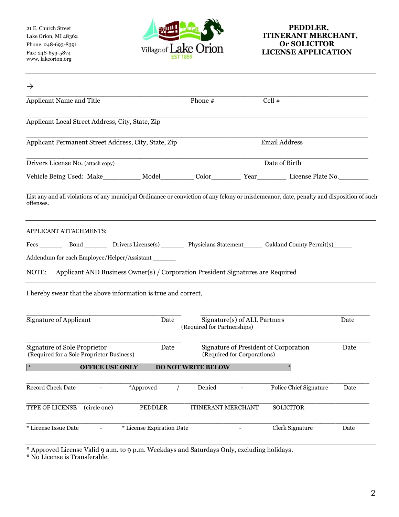www. lakeorion.org



# Lake Orion, MI 48362 **ITINERANT MERCHANT**,

| $\rightarrow$                                                                                                                                         |                                     |                                                                      |                        |      |
|-------------------------------------------------------------------------------------------------------------------------------------------------------|-------------------------------------|----------------------------------------------------------------------|------------------------|------|
| Applicant Name and Title                                                                                                                              | Phone #                             | Cell #                                                               |                        |      |
| Applicant Local Street Address, City, State, Zip                                                                                                      |                                     |                                                                      |                        |      |
| Applicant Permanent Street Address, City, State, Zip                                                                                                  |                                     | Email Address                                                        |                        |      |
| Drivers License No. (attach copy)                                                                                                                     |                                     | Date of Birth                                                        |                        |      |
|                                                                                                                                                       |                                     |                                                                      |                        |      |
| List any and all violations of any municipal Ordinance or conviction of any felony or misdemeanor, date, penalty and disposition of such<br>offenses. |                                     |                                                                      |                        |      |
| APPLICANT ATTACHMENTS:                                                                                                                                |                                     |                                                                      |                        |      |
| Fees Bond Drivers License(s) Physicians Statement Oakland County Permit(s)                                                                            |                                     |                                                                      |                        |      |
| Addendum for each Employee/Helper/Assistant ______                                                                                                    |                                     |                                                                      |                        |      |
| Applicant AND Business Owner(s) / Corporation President Signatures are Required<br>NOTE:                                                              |                                     |                                                                      |                        |      |
| I hereby swear that the above information is true and correct,                                                                                        |                                     |                                                                      |                        |      |
| <b>Signature of Applicant</b>                                                                                                                         | Date<br>(Required for Partnerships) | Signature(s) of ALL Partners                                         |                        | Date |
| <b>Signature of Sole Proprietor</b><br>(Required for a Sole Proprietor Business)                                                                      | Date                                | Signature of President of Corporation<br>(Required for Corporations) |                        | Date |
| <b>OFFICE USE ONLY</b>                                                                                                                                | <b>DO NOT WRITE BELOW</b>           |                                                                      |                        |      |
| <b>Record Check Date</b><br>*Approved                                                                                                                 | Denied                              |                                                                      | Police Chief Signature | Date |
| TYPE OF LICENSE<br>(circle one)<br>PEDDLER                                                                                                            | <b>ITINERANT MERCHANT</b>           |                                                                      | <b>SOLICITOR</b>       |      |
| * License Issue Date<br>* License Expiration Date                                                                                                     |                                     |                                                                      | Clerk Signature        | Date |

\* Approved License Valid 9 a.m. to 9 p.m. Weekdays and Saturdays Only, excluding holidays.

\* No License is Transferable.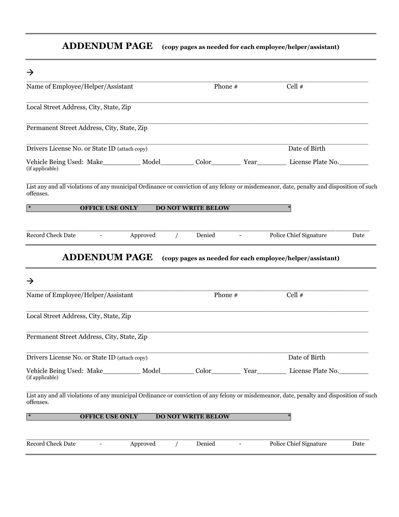## **ADDENDUM PAGE (copy pages as needed for each employee/helper/assistant)**

| $\rightarrow$                                                                                                                                         |                           |                                                           |      |
|-------------------------------------------------------------------------------------------------------------------------------------------------------|---------------------------|-----------------------------------------------------------|------|
| Name of Employee/Helper/Assistant                                                                                                                     | Phone #                   | Cell $#$                                                  |      |
| Local Street Address, City, State, Zip                                                                                                                |                           |                                                           |      |
| Permanent Street Address, City, State, Zip                                                                                                            |                           |                                                           |      |
| Drivers License No. or State ID (attach copy)                                                                                                         |                           | Date of Birth                                             |      |
| Vehicle Being Used: Make___________ Model__________ Color__________ Year____________ License Plate No.________<br>(if applicable)                     |                           |                                                           |      |
| List any and all violations of any municipal Ordinance or conviction of any felony or misdemeanor, date, penalty and disposition of such<br>offenses. |                           |                                                           |      |
| $\ast$<br><b>OFFICE USE ONLY</b>                                                                                                                      | <b>DO NOT WRITE BELOW</b> |                                                           |      |
| <b>Record Check Date</b><br>Approved                                                                                                                  | Denied                    | Police Chief Signature                                    | Date |
| <b>ADDENDUM PAGE</b>                                                                                                                                  |                           | (copy pages as needed for each employee/helper/assistant) |      |
| $\rightarrow$                                                                                                                                         |                           |                                                           |      |
| Name of Employee/Helper/Assistant                                                                                                                     | Phone #                   | Cell #                                                    |      |
| Local Street Address, City, State, Zip                                                                                                                |                           |                                                           |      |
| Permanent Street Address, City, State, Zip                                                                                                            |                           |                                                           |      |
| Drivers License No. or State ID (attach copy)                                                                                                         |                           | Date of Birth                                             |      |
| Vehicle Being Used: Make__________ Model_________ Color__________ Year__________ License Plate No.______<br>(if applicable)                           |                           |                                                           |      |
| List any and all violations of any municipal Ordinance or conviction of any felony or misdemeanor, date, penalty and disposition of such<br>offenses. |                           |                                                           |      |
| <b>OFFICE USE ONLY</b><br>$\ast$                                                                                                                      | <b>DO NOT WRITE BELOW</b> |                                                           |      |
| Record Check Date<br>Approved<br>$\overline{\phantom{a}}$                                                                                             | Denied                    | <b>Police Chief Signature</b><br>$\overline{\phantom{a}}$ | Date |